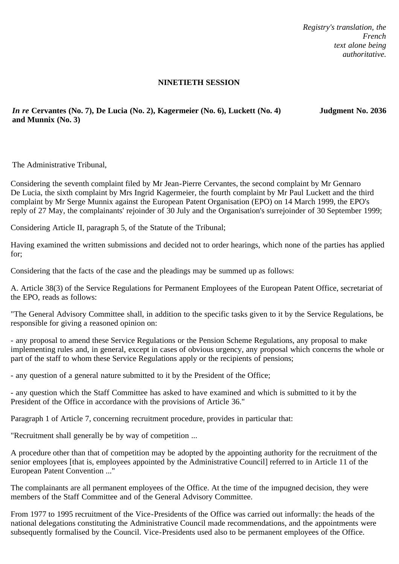*Registry's translation, the French text alone being authoritative.*

#### **NINETIETH SESSION**

*In re* **Cervantes (No. 7), De Lucia (No. 2), Kagermeier (No. 6), Luckett (No. 4) and Munnix (No. 3)**

**Judgment No. 2036**

The Administrative Tribunal,

Considering the seventh complaint filed by Mr Jean-Pierre Cervantes, the second complaint by Mr Gennaro De Lucia, the sixth complaint by Mrs Ingrid Kagermeier, the fourth complaint by Mr Paul Luckett and the third complaint by Mr Serge Munnix against the European Patent Organisation (EPO) on 14 March 1999, the EPO's reply of 27 May, the complainants' rejoinder of 30 July and the Organisation's surrejoinder of 30 September 1999;

Considering Article II, paragraph 5, of the Statute of the Tribunal;

Having examined the written submissions and decided not to order hearings, which none of the parties has applied for;

Considering that the facts of the case and the pleadings may be summed up as follows:

A. Article 38(3) of the Service Regulations for Permanent Employees of the European Patent Office, secretariat of the EPO, reads as follows:

"The General Advisory Committee shall, in addition to the specific tasks given to it by the Service Regulations, be responsible for giving a reasoned opinion on:

- any proposal to amend these Service Regulations or the Pension Scheme Regulations, any proposal to make implementing rules and, in general, except in cases of obvious urgency, any proposal which concerns the whole or part of the staff to whom these Service Regulations apply or the recipients of pensions;

- any question of a general nature submitted to it by the President of the Office;

- any question which the Staff Committee has asked to have examined and which is submitted to it by the President of the Office in accordance with the provisions of Article 36."

Paragraph 1 of Article 7, concerning recruitment procedure, provides in particular that:

"Recruitment shall generally be by way of competition ...

A procedure other than that of competition may be adopted by the appointing authority for the recruitment of the senior employees [that is, employees appointed by the Administrative Council] referred to in Article 11 of the European Patent Convention ..."

The complainants are all permanent employees of the Office. At the time of the impugned decision, they were members of the Staff Committee and of the General Advisory Committee.

From 1977 to 1995 recruitment of the Vice-Presidents of the Office was carried out informally: the heads of the national delegations constituting the Administrative Council made recommendations, and the appointments were subsequently formalised by the Council. Vice-Presidents used also to be permanent employees of the Office.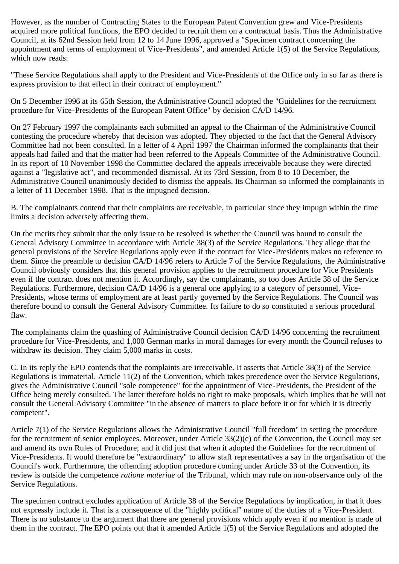However, as the number of Contracting States to the European Patent Convention grew and Vice-Presidents acquired more political functions, the EPO decided to recruit them on a contractual basis. Thus the Administrative Council, at its 62nd Session held from 12 to 14 June 1996, approved a "Specimen contract concerning the appointment and terms of employment of Vice-Presidents", and amended Article 1(5) of the Service Regulations, which now reads:

"These Service Regulations shall apply to the President and Vice-Presidents of the Office only in so far as there is express provision to that effect in their contract of employment."

On 5 December 1996 at its 65th Session, the Administrative Council adopted the "Guidelines for the recruitment procedure for Vice-Presidents of the European Patent Office" by decision CA/D 14/96.

On 27 February 1997 the complainants each submitted an appeal to the Chairman of the Administrative Council contesting the procedure whereby that decision was adopted. They objected to the fact that the General Advisory Committee had not been consulted. In a letter of 4 April 1997 the Chairman informed the complainants that their appeals had failed and that the matter had been referred to the Appeals Committee of the Administrative Council. In its report of 10 November 1998 the Committee declared the appeals irreceivable because they were directed against a "legislative act", and recommended dismissal. At its 73rd Session, from 8 to 10 December, the Administrative Council unanimously decided to dismiss the appeals. Its Chairman so informed the complainants in a letter of 11 December 1998. That is the impugned decision.

B. The complainants contend that their complaints are receivable, in particular since they impugn within the time limits a decision adversely affecting them.

On the merits they submit that the only issue to be resolved is whether the Council was bound to consult the General Advisory Committee in accordance with Article 38(3) of the Service Regulations. They allege that the general provisions of the Service Regulations apply even if the contract for Vice-Presidents makes no reference to them. Since the preamble to decision CA/D 14/96 refers to Article 7 of the Service Regulations, the Administrative Council obviously considers that this general provision applies to the recruitment procedure for Vice Presidents even if the contract does not mention it. Accordingly, say the complainants, so too does Article 38 of the Service Regulations. Furthermore, decision CA/D 14/96 is a general one applying to a category of personnel, Vice-Presidents, whose terms of employment are at least partly governed by the Service Regulations. The Council was therefore bound to consult the General Advisory Committee. Its failure to do so constituted a serious procedural flaw.

The complainants claim the quashing of Administrative Council decision CA/D 14/96 concerning the recruitment procedure for Vice-Presidents, and 1,000 German marks in moral damages for every month the Council refuses to withdraw its decision. They claim 5,000 marks in costs.

C. In its reply the EPO contends that the complaints are irreceivable. It asserts that Article 38(3) of the Service Regulations is immaterial. Article 11(2) of the Convention, which takes precedence over the Service Regulations, gives the Administrative Council "sole competence" for the appointment of Vice-Presidents, the President of the Office being merely consulted. The latter therefore holds no right to make proposals, which implies that he will not consult the General Advisory Committee "in the absence of matters to place before it or for which it is directly competent".

Article 7(1) of the Service Regulations allows the Administrative Council "full freedom" in setting the procedure for the recruitment of senior employees. Moreover, under Article 33(2)(e) of the Convention, the Council may set and amend its own Rules of Procedure; and it did just that when it adopted the Guidelines for the recruitment of Vice-Presidents. It would therefore be "extraordinary" to allow staff representatives a say in the organisation of the Council's work. Furthermore, the offending adoption procedure coming under Article 33 of the Convention, its review is outside the competence *ratione materiae* of the Tribunal, which may rule on non-observance only of the Service Regulations.

The specimen contract excludes application of Article 38 of the Service Regulations by implication, in that it does not expressly include it. That is a consequence of the "highly political" nature of the duties of a Vice-President. There is no substance to the argument that there are general provisions which apply even if no mention is made of them in the contract. The EPO points out that it amended Article 1(5) of the Service Regulations and adopted the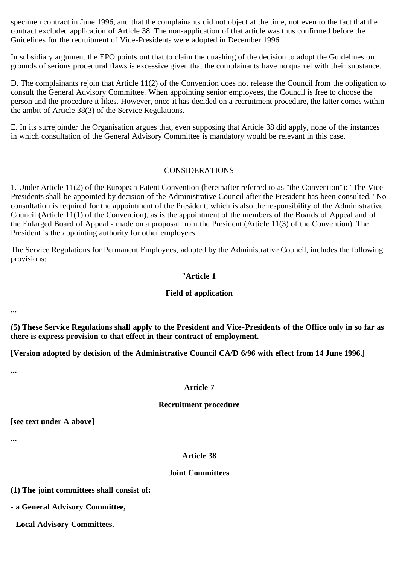specimen contract in June 1996, and that the complainants did not object at the time, not even to the fact that the contract excluded application of Article 38. The non-application of that article was thus confirmed before the Guidelines for the recruitment of Vice-Presidents were adopted in December 1996.

In subsidiary argument the EPO points out that to claim the quashing of the decision to adopt the Guidelines on grounds of serious procedural flaws is excessive given that the complainants have no quarrel with their substance.

D. The complainants rejoin that Article 11(2) of the Convention does not release the Council from the obligation to consult the General Advisory Committee. When appointing senior employees, the Council is free to choose the person and the procedure it likes. However, once it has decided on a recruitment procedure, the latter comes within the ambit of Article 38(3) of the Service Regulations.

E. In its surrejoinder the Organisation argues that, even supposing that Article 38 did apply, none of the instances in which consultation of the General Advisory Committee is mandatory would be relevant in this case.

### CONSIDERATIONS

1. Under Article 11(2) of the European Patent Convention (hereinafter referred to as "the Convention"): "The Vice-Presidents shall be appointed by decision of the Administrative Council after the President has been consulted." No consultation is required for the appointment of the President, which is also the responsibility of the Administrative Council (Article 11(1) of the Convention), as is the appointment of the members of the Boards of Appeal and of the Enlarged Board of Appeal - made on a proposal from the President (Article 11(3) of the Convention). The President is the appointing authority for other employees.

The Service Regulations for Permanent Employees, adopted by the Administrative Council, includes the following provisions:

### "**Article 1**

#### **Field of application**

**...**

**(5) These Service Regulations shall apply to the President and Vice-Presidents of the Office only in so far as there is express provision to that effect in their contract of employment.**

**[Version adopted by decision of the Administrative Council CA/D 6/96 with effect from 14 June 1996.]**

**...**

# **Article 7**

#### **Recruitment procedure**

**[see text under A above]**

**...**

# **Article 38**

# **Joint Committees**

**(1) The joint committees shall consist of:**

**- a General Advisory Committee,**

**- Local Advisory Committees.**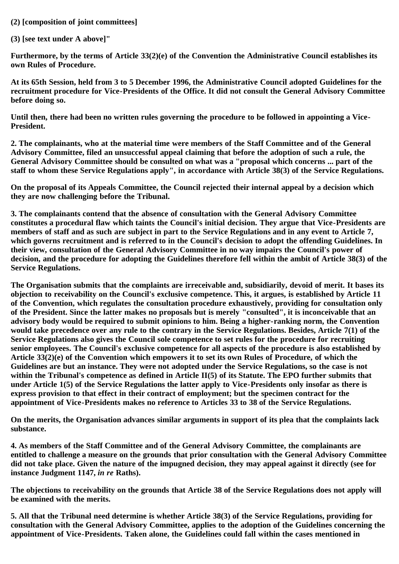# **(2) [composition of joint committees]**

**(3) [see text under A above]"**

**Furthermore, by the terms of Article 33(2)(e) of the Convention the Administrative Council establishes its own Rules of Procedure.**

**At its 65th Session, held from 3 to 5 December 1996, the Administrative Council adopted Guidelines for the recruitment procedure for Vice-Presidents of the Office. It did not consult the General Advisory Committee before doing so.**

**Until then, there had been no written rules governing the procedure to be followed in appointing a Vice-President.**

**2. The complainants, who at the material time were members of the Staff Committee and of the General Advisory Committee, filed an unsuccessful appeal claiming that before the adoption of such a rule, the General Advisory Committee should be consulted on what was a "proposal which concerns ... part of the staff to whom these Service Regulations apply", in accordance with Article 38(3) of the Service Regulations.**

**On the proposal of its Appeals Committee, the Council rejected their internal appeal by a decision which they are now challenging before the Tribunal.**

**3. The complainants contend that the absence of consultation with the General Advisory Committee constitutes a procedural flaw which taints the Council's initial decision. They argue that Vice-Presidents are members of staff and as such are subject in part to the Service Regulations and in any event to Article 7, which governs recruitment and is referred to in the Council's decision to adopt the offending Guidelines. In their view, consultation of the General Advisory Committee in no way impairs the Council's power of decision, and the procedure for adopting the Guidelines therefore fell within the ambit of Article 38(3) of the Service Regulations.**

**The Organisation submits that the complaints are irreceivable and, subsidiarily, devoid of merit. It bases its objection to receivability on the Council's exclusive competence. This, it argues, is established by Article 11 of the Convention, which regulates the consultation procedure exhaustively, providing for consultation only of the President. Since the latter makes no proposals but is merely "consulted", it is inconceivable that an advisory body would be required to submit opinions to him. Being a higher-ranking norm, the Convention would take precedence over any rule to the contrary in the Service Regulations. Besides, Article 7(1) of the Service Regulations also gives the Council sole competence to set rules for the procedure for recruiting senior employees. The Council's exclusive competence for all aspects of the procedure is also established by Article 33(2)(e) of the Convention which empowers it to set its own Rules of Procedure, of which the Guidelines are but an instance. They were not adopted under the Service Regulations, so the case is not within the Tribunal's competence as defined in Article II(5) of its Statute. The EPO further submits that under Article 1(5) of the Service Regulations the latter apply to Vice-Presidents only insofar as there is express provision to that effect in their contract of employment; but the specimen contract for the appointment of Vice-Presidents makes no reference to Articles 33 to 38 of the Service Regulations.**

**On the merits, the Organisation advances similar arguments in support of its plea that the complaints lack substance.**

**4. As members of the Staff Committee and of the General Advisory Committee, the complainants are entitled to challenge a measure on the grounds that prior consultation with the General Advisory Committee did not take place. Given the nature of the impugned decision, they may appeal against it directly (see for instance Judgment 1147,** *in re* **Raths).**

**The objections to receivability on the grounds that Article 38 of the Service Regulations does not apply will be examined with the merits.**

**5. All that the Tribunal need determine is whether Article 38(3) of the Service Regulations, providing for consultation with the General Advisory Committee, applies to the adoption of the Guidelines concerning the appointment of Vice-Presidents. Taken alone, the Guidelines could fall within the cases mentioned in**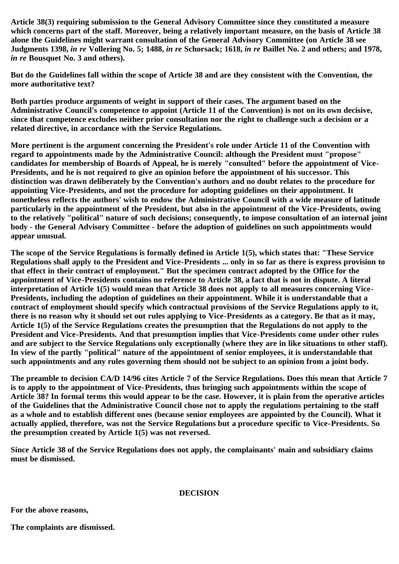**Article 38(3) requiring submission to the General Advisory Committee since they constituted a measure which concerns part of the staff. Moreover, being a relatively important measure, on the basis of Article 38 alone the Guidelines might warrant consultation of the General Advisory Committee (on Article 38 see Judgments 1398,** *in re* **Vollering No. 5; 1488,** *in re* **Schorsack; 1618,** *in re* **Baillet No. 2 and others; and 1978,** *in re* **Bousquet No. 3 and others).**

**But do the Guidelines fall within the scope of Article 38 and are they consistent with the Convention, the more authoritative text?**

**Both parties produce arguments of weight in support of their cases. The argument based on the Administrative Council's competence to appoint (Article 11 of the Convention) is not on its own decisive, since that competence excludes neither prior consultation nor the right to challenge such a decision or a related directive, in accordance with the Service Regulations.**

**More pertinent is the argument concerning the President's role under Article 11 of the Convention with regard to appointments made by the Administrative Council: although the President must "propose" candidates for membership of Boards of Appeal, he is merely "consulted" before the appointment of Vice-Presidents, and he is not required to give an opinion before the appointment of his successor. This distinction was drawn deliberately by the Convention's authors and no doubt relates to the procedure for appointing Vice-Presidents, and not the procedure for adopting guidelines on their appointment. It nonetheless reflects the authors' wish to endow the Administrative Council with a wide measure of latitude particularly in the appointment of the President, but also in the appointment of the Vice-Presidents, owing to the relatively "political" nature of such decisions; consequently, to impose consultation of an internal joint body - the General Advisory Committee - before the adoption of guidelines on such appointments would appear unusual.**

**The scope of the Service Regulations is formally defined in Article 1(5), which states that: "These Service Regulations shall apply to the President and Vice-Presidents ... only in so far as there is express provision to that effect in their contract of employment." But the specimen contract adopted by the Office for the appointment of Vice-Presidents contains no reference to Article 38, a fact that is not in dispute. A literal interpretation of Article 1(5) would mean that Article 38 does not apply to all measures concerning Vice-Presidents, including the adoption of guidelines on their appointment. While it is understandable that a contract of employment should specify which contractual provisions of the Service Regulations apply to it, there is no reason why it should set out rules applying to Vice-Presidents as a category. Be that as it may, Article 1(5) of the Service Regulations creates the presumption that the Regulations do not apply to the President and Vice-Presidents. And that presumption implies that Vice-Presidents come under other rules and are subject to the Service Regulations only exceptionally (where they are in like situations to other staff). In view of the partly "political" nature of the appointment of senior employees, it is understandable that such appointments and any rules governing them should not be subject to an opinion from a joint body.**

**The preamble to decision CA/D 14/96 cites Article 7 of the Service Regulations. Does this mean that Article 7 is to apply to the appointment of Vice-Presidents, thus bringing such appointments within the scope of Article 38? In formal terms this would appear to be the case. However, it is plain from the operative articles of the Guidelines that the Administrative Council chose not to apply the regulations pertaining to the staff as a whole and to establish different ones (because senior employees are appointed by the Council). What it actually applied, therefore, was not the Service Regulations but a procedure specific to Vice-Presidents. So the presumption created by Article 1(5) was not reversed.**

**Since Article 38 of the Service Regulations does not apply, the complainants' main and subsidiary claims must be dismissed.**

**DECISION**

**For the above reasons,**

**The complaints are dismissed.**